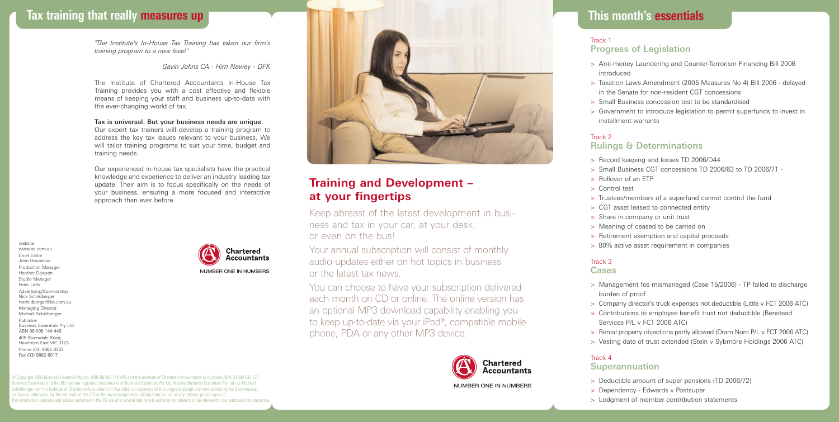# **Tax training that really measures up**

*"The Institute's In-House Tax Training has taken our firm's training program to a new level"*

#### *Gavin Johns CA - Hirn Newey - DFK*

The Institute of Chartered Accountants In-House Tax Training provides you with a cost effective and flexible means of keeping your staff and business up-to-date with the ever-changing world of tax.

# Tax is universal. But your business needs are unique.

Our expert tax trainers will develop a training program to address the key tax issues relevant to your business. We will tailor training programs to suit your time, budget and training needs.

Our experienced in-house tax specialists have the practical knowledge and experience to deliver an industry leading tax update. Their aim is to focus specifically on the needs of your business, ensuring a more focused and interactive approach than ever before.

website www.be.com.au Chief Editor John Hounslow Production Manager Heather Dawson Studio Manager Peter Letts Advertising/Sponsorship Nick Schildberger nschildberger@be.com.au Managing Director Michael Schildberger Publisher Business Essentials Pty Ltd ABN 98 006 144 449 405 Riversdale Road, Hawthorn East VIC 3123 Phone (03) 9882 8333 Fax (03) 9882 8017



© Copyright 2006 Business Essential Pty Ltd ABN 98 006 144 449 and the Institute of Chartered Accountants in Australia ABN 50 084 642 571. Business Essentials and the BE logo are registered trademarks of Business Essentials Pty Ltd. Neither Business Essentials Pty Ltd nor Michael Schildberger, nor the Institute of Chartered Accountants in Australia, nor sponsors of this program accept any form of liability, be it contractual, ortious or otherwise, for the contents of this CD or for any consequences arising from its use or any reliance placed upon it. The information, opinions and advice contained in this CD are of a general nature only and may not relate to or be relevant to your particular circumstances.



# **Training and Development – at your fingertips**

Keep abreast of the latest development in business and tax in your car, at your desk, or even on the bus!

Your annual subscription will consist of monthly audio updates either on hot topics in business or the latest tax news.

You can choose to have your subscription delivered each month on CD or online. The online version has an optional MP3 download capability enabling you to keep up-to-date via your iPod®, compatible mobile phone, PDA or any other MP3 device.



# **This month's essentials This month's essentials**

#### Track 1 Progress of Legislation

- > Anti-money Laundering and Counter-Terrorism Financing Bill 2006 introduced
- > Taxation Laws Amendment (2005 Measures No 4) Bill 2006 delayed in the Senate for non-resident CGT concessions
- > Small Business concession test to be standardised
- > Government to introduce legislation to permit superfunds to invest in installment warrants

### Track 2

## Rulings & Determinations

- > Record keeping and losses TD 2006/D44
- > Small Business CGT concessions TD 2006/63 to TD 2006/71 -
- > Rollover of an ETP
- > Control test
- > Trustees/members of a superfund cannot control the fund
- > CGT asset leased to connected entity
- > Share in company or unit trust
- > Meaning of ceased to be carried on
- > Retirement exemption and capital proceeds
- > 80% active asset requirement in companies

# Track 3

- Cases
- > Management fee mismanaged (Case 15/2006) TP failed to discharge burden of proof
- > Company director's truck expenses not deductible (Little v FCT 2006 ATC)
- > Contributions to employee benefit trust not deductible (Benstead Services P/L v FCT 2006 ATC)
- > Rental property objections partly allowed (Dram Nom P/L v FCT 2006 ATC)
- > Vesting date of trust extended (Stein v Sybmore Holdings 2006 ATC)

# Track 4

# **Superannuation**

- > Deductible amount of super pensions (TD 2006/72)
- > Dependency Edwards v Postsuper
- > Lodgment of member contribution statements